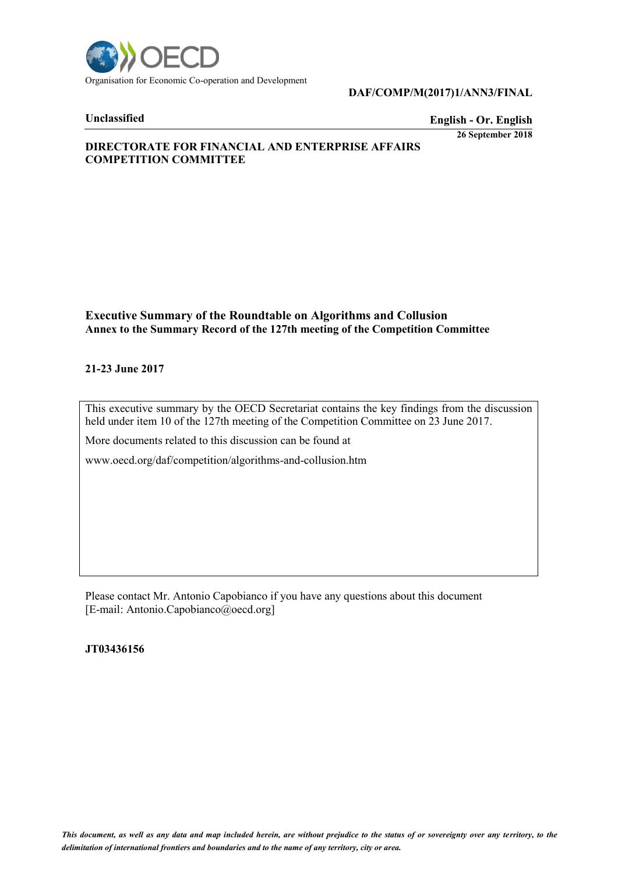

### **DAF/COMP/M(2017)1/ANN3/FINAL**

### **Unclassified English - Or. English**

**26 September 2018**

## **DIRECTORATE FOR FINANCIAL AND ENTERPRISE AFFAIRS COMPETITION COMMITTEE**

### **Executive Summary of the Roundtable on Algorithms and Collusion Annex to the Summary Record of the 127th meeting of the Competition Committee**

### **21-23 June 2017**

This executive summary by the OECD Secretariat contains the key findings from the discussion held under item 10 of the 127th meeting of the Competition Committee on 23 June 2017.

More documents related to this discussion can be found at

www.oecd.org/daf/competition/algorithms-and-collusion.htm

Please contact Mr. Antonio Capobianco if you have any questions about this document [E-mail: Antonio.Capobianco@oecd.org]

### **JT03436156**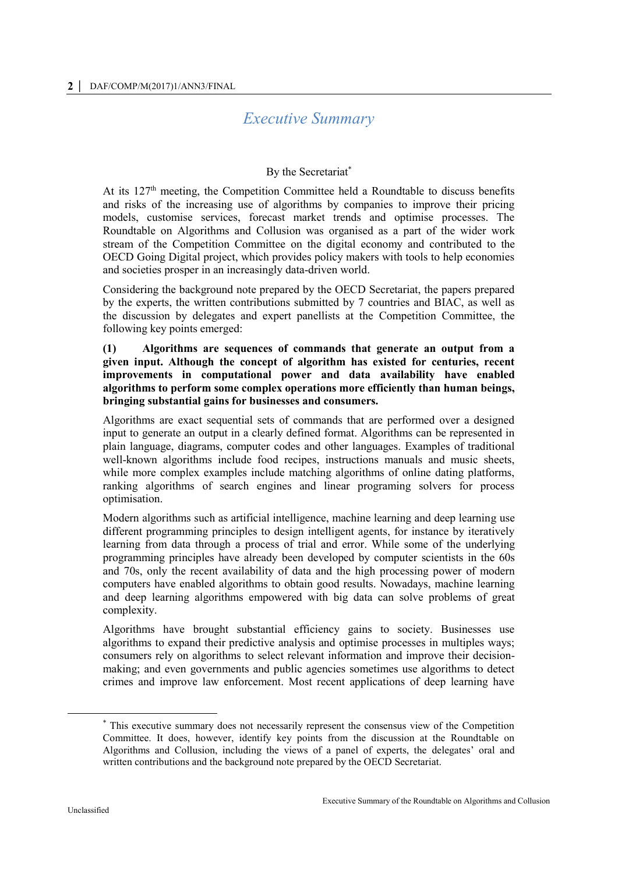# *Executive Summary*

# By the Secretariat\*

At its 127<sup>th</sup> meeting, the Competition Committee held a Roundtable to discuss benefits and risks of the increasing use of algorithms by companies to improve their pricing models, customise services, forecast market trends and optimise processes. The Roundtable on Algorithms and Collusion was organised as a part of the wider work stream of the Competition Committee on the digital economy and contributed to the OECD Going Digital project, which provides policy makers with tools to help economies and societies prosper in an increasingly data-driven world.

Considering the background note prepared by the OECD Secretariat, the papers prepared by the experts, the written contributions submitted by 7 countries and BIAC, as well as the discussion by delegates and expert panellists at the Competition Committee, the following key points emerged:

### **(1) Algorithms are sequences of commands that generate an output from a given input. Although the concept of algorithm has existed for centuries, recent improvements in computational power and data availability have enabled algorithms to perform some complex operations more efficiently than human beings, bringing substantial gains for businesses and consumers.**

Algorithms are exact sequential sets of commands that are performed over a designed input to generate an output in a clearly defined format. Algorithms can be represented in plain language, diagrams, computer codes and other languages. Examples of traditional well-known algorithms include food recipes, instructions manuals and music sheets, while more complex examples include matching algorithms of online dating platforms, ranking algorithms of search engines and linear programing solvers for process optimisation.

Modern algorithms such as artificial intelligence, machine learning and deep learning use different programming principles to design intelligent agents, for instance by iteratively learning from data through a process of trial and error. While some of the underlying programming principles have already been developed by computer scientists in the 60s and 70s, only the recent availability of data and the high processing power of modern computers have enabled algorithms to obtain good results. Nowadays, machine learning and deep learning algorithms empowered with big data can solve problems of great complexity.

Algorithms have brought substantial efficiency gains to society. Businesses use algorithms to expand their predictive analysis and optimise processes in multiples ways; consumers rely on algorithms to select relevant information and improve their decisionmaking; and even governments and public agencies sometimes use algorithms to detect crimes and improve law enforcement. Most recent applications of deep learning have

 $\overline{a}$ 

<sup>\*</sup> This executive summary does not necessarily represent the consensus view of the Competition Committee. It does, however, identify key points from the discussion at the Roundtable on Algorithms and Collusion, including the views of a panel of experts, the delegates' oral and written contributions and the background note prepared by the OECD Secretariat.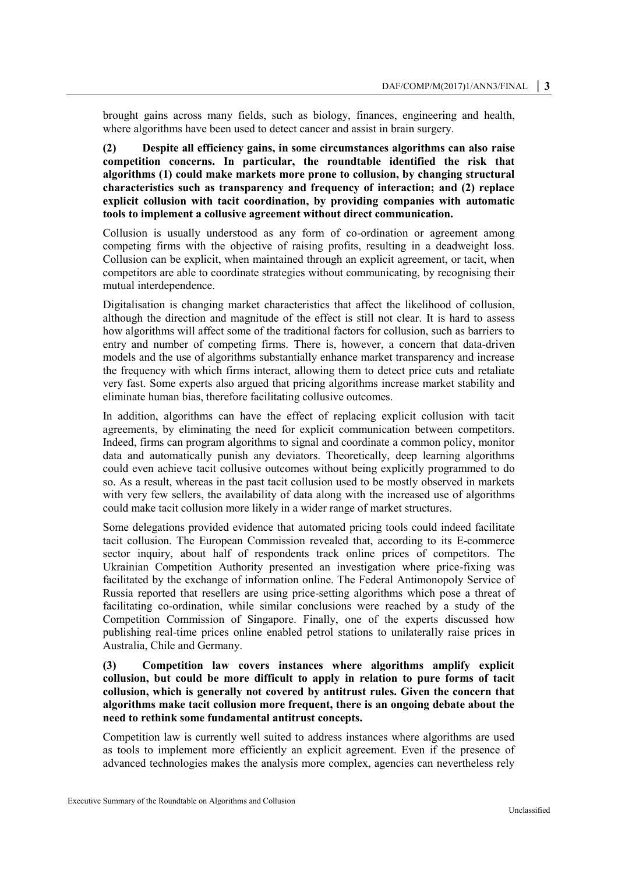brought gains across many fields, such as biology, finances, engineering and health, where algorithms have been used to detect cancer and assist in brain surgery.

**(2) Despite all efficiency gains, in some circumstances algorithms can also raise competition concerns. In particular, the roundtable identified the risk that algorithms (1) could make markets more prone to collusion, by changing structural characteristics such as transparency and frequency of interaction; and (2) replace explicit collusion with tacit coordination, by providing companies with automatic tools to implement a collusive agreement without direct communication.**

Collusion is usually understood as any form of co-ordination or agreement among competing firms with the objective of raising profits, resulting in a deadweight loss. Collusion can be explicit, when maintained through an explicit agreement, or tacit, when competitors are able to coordinate strategies without communicating, by recognising their mutual interdependence.

Digitalisation is changing market characteristics that affect the likelihood of collusion, although the direction and magnitude of the effect is still not clear. It is hard to assess how algorithms will affect some of the traditional factors for collusion, such as barriers to entry and number of competing firms. There is, however, a concern that data-driven models and the use of algorithms substantially enhance market transparency and increase the frequency with which firms interact, allowing them to detect price cuts and retaliate very fast. Some experts also argued that pricing algorithms increase market stability and eliminate human bias, therefore facilitating collusive outcomes.

In addition, algorithms can have the effect of replacing explicit collusion with tacit agreements, by eliminating the need for explicit communication between competitors. Indeed, firms can program algorithms to signal and coordinate a common policy, monitor data and automatically punish any deviators. Theoretically, deep learning algorithms could even achieve tacit collusive outcomes without being explicitly programmed to do so. As a result, whereas in the past tacit collusion used to be mostly observed in markets with very few sellers, the availability of data along with the increased use of algorithms could make tacit collusion more likely in a wider range of market structures.

Some delegations provided evidence that automated pricing tools could indeed facilitate tacit collusion. The European Commission revealed that, according to its E-commerce sector inquiry, about half of respondents track online prices of competitors. The Ukrainian Competition Authority presented an investigation where price-fixing was facilitated by the exchange of information online. The Federal Antimonopoly Service of Russia reported that resellers are using price-setting algorithms which pose a threat of facilitating co-ordination, while similar conclusions were reached by a study of the Competition Commission of Singapore. Finally, one of the experts discussed how publishing real-time prices online enabled petrol stations to unilaterally raise prices in Australia, Chile and Germany.

### **(3) Competition law covers instances where algorithms amplify explicit collusion, but could be more difficult to apply in relation to pure forms of tacit collusion, which is generally not covered by antitrust rules. Given the concern that algorithms make tacit collusion more frequent, there is an ongoing debate about the need to rethink some fundamental antitrust concepts.**

Competition law is currently well suited to address instances where algorithms are used as tools to implement more efficiently an explicit agreement. Even if the presence of advanced technologies makes the analysis more complex, agencies can nevertheless rely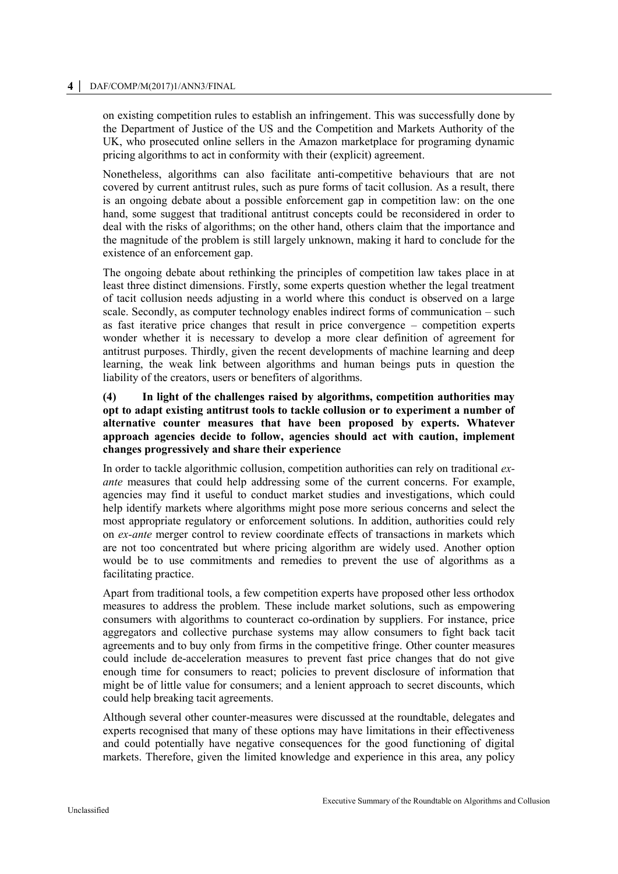#### **4 │** DAF/COMP/M(2017)1/ANN3/FINAL

on existing competition rules to establish an infringement. This was successfully done by the Department of Justice of the US and the Competition and Markets Authority of the UK, who prosecuted online sellers in the Amazon marketplace for programing dynamic pricing algorithms to act in conformity with their (explicit) agreement.

Nonetheless, algorithms can also facilitate anti-competitive behaviours that are not covered by current antitrust rules, such as pure forms of tacit collusion. As a result, there is an ongoing debate about a possible enforcement gap in competition law: on the one hand, some suggest that traditional antitrust concepts could be reconsidered in order to deal with the risks of algorithms; on the other hand, others claim that the importance and the magnitude of the problem is still largely unknown, making it hard to conclude for the existence of an enforcement gap.

The ongoing debate about rethinking the principles of competition law takes place in at least three distinct dimensions. Firstly, some experts question whether the legal treatment of tacit collusion needs adjusting in a world where this conduct is observed on a large scale. Secondly, as computer technology enables indirect forms of communication – such as fast iterative price changes that result in price convergence – competition experts wonder whether it is necessary to develop a more clear definition of agreement for antitrust purposes. Thirdly, given the recent developments of machine learning and deep learning, the weak link between algorithms and human beings puts in question the liability of the creators, users or benefiters of algorithms.

### **(4) In light of the challenges raised by algorithms, competition authorities may opt to adapt existing antitrust tools to tackle collusion or to experiment a number of alternative counter measures that have been proposed by experts. Whatever approach agencies decide to follow, agencies should act with caution, implement changes progressively and share their experience**

In order to tackle algorithmic collusion, competition authorities can rely on traditional *exante* measures that could help addressing some of the current concerns. For example, agencies may find it useful to conduct market studies and investigations, which could help identify markets where algorithms might pose more serious concerns and select the most appropriate regulatory or enforcement solutions. In addition, authorities could rely on *ex-ante* merger control to review coordinate effects of transactions in markets which are not too concentrated but where pricing algorithm are widely used. Another option would be to use commitments and remedies to prevent the use of algorithms as a facilitating practice.

Apart from traditional tools, a few competition experts have proposed other less orthodox measures to address the problem. These include market solutions, such as empowering consumers with algorithms to counteract co-ordination by suppliers. For instance, price aggregators and collective purchase systems may allow consumers to fight back tacit agreements and to buy only from firms in the competitive fringe. Other counter measures could include de-acceleration measures to prevent fast price changes that do not give enough time for consumers to react; policies to prevent disclosure of information that might be of little value for consumers; and a lenient approach to secret discounts, which could help breaking tacit agreements.

Although several other counter-measures were discussed at the roundtable, delegates and experts recognised that many of these options may have limitations in their effectiveness and could potentially have negative consequences for the good functioning of digital markets. Therefore, given the limited knowledge and experience in this area, any policy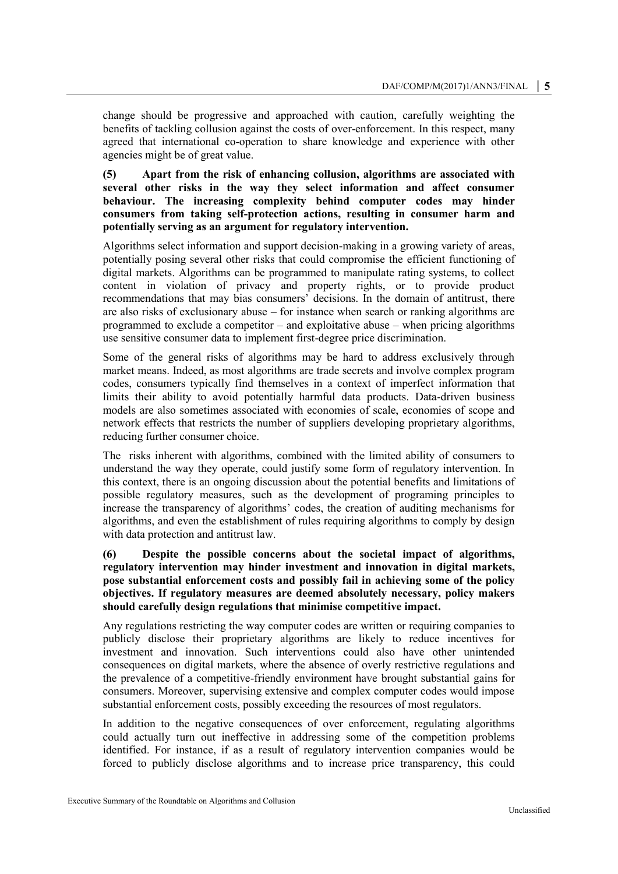change should be progressive and approached with caution, carefully weighting the benefits of tackling collusion against the costs of over-enforcement. In this respect, many agreed that international co-operation to share knowledge and experience with other agencies might be of great value.

**(5) Apart from the risk of enhancing collusion, algorithms are associated with several other risks in the way they select information and affect consumer behaviour. The increasing complexity behind computer codes may hinder consumers from taking self-protection actions, resulting in consumer harm and potentially serving as an argument for regulatory intervention.**

Algorithms select information and support decision-making in a growing variety of areas, potentially posing several other risks that could compromise the efficient functioning of digital markets. Algorithms can be programmed to manipulate rating systems, to collect content in violation of privacy and property rights, or to provide product recommendations that may bias consumers' decisions. In the domain of antitrust, there are also risks of exclusionary abuse – for instance when search or ranking algorithms are programmed to exclude a competitor – and exploitative abuse – when pricing algorithms use sensitive consumer data to implement first-degree price discrimination.

Some of the general risks of algorithms may be hard to address exclusively through market means. Indeed, as most algorithms are trade secrets and involve complex program codes, consumers typically find themselves in a context of imperfect information that limits their ability to avoid potentially harmful data products. Data-driven business models are also sometimes associated with economies of scale, economies of scope and network effects that restricts the number of suppliers developing proprietary algorithms, reducing further consumer choice.

The risks inherent with algorithms, combined with the limited ability of consumers to understand the way they operate, could justify some form of regulatory intervention. In this context, there is an ongoing discussion about the potential benefits and limitations of possible regulatory measures, such as the development of programing principles to increase the transparency of algorithms' codes, the creation of auditing mechanisms for algorithms, and even the establishment of rules requiring algorithms to comply by design with data protection and antitrust law.

### **(6) Despite the possible concerns about the societal impact of algorithms, regulatory intervention may hinder investment and innovation in digital markets, pose substantial enforcement costs and possibly fail in achieving some of the policy objectives. If regulatory measures are deemed absolutely necessary, policy makers should carefully design regulations that minimise competitive impact.**

Any regulations restricting the way computer codes are written or requiring companies to publicly disclose their proprietary algorithms are likely to reduce incentives for investment and innovation. Such interventions could also have other unintended consequences on digital markets, where the absence of overly restrictive regulations and the prevalence of a competitive-friendly environment have brought substantial gains for consumers. Moreover, supervising extensive and complex computer codes would impose substantial enforcement costs, possibly exceeding the resources of most regulators.

In addition to the negative consequences of over enforcement, regulating algorithms could actually turn out ineffective in addressing some of the competition problems identified. For instance, if as a result of regulatory intervention companies would be forced to publicly disclose algorithms and to increase price transparency, this could